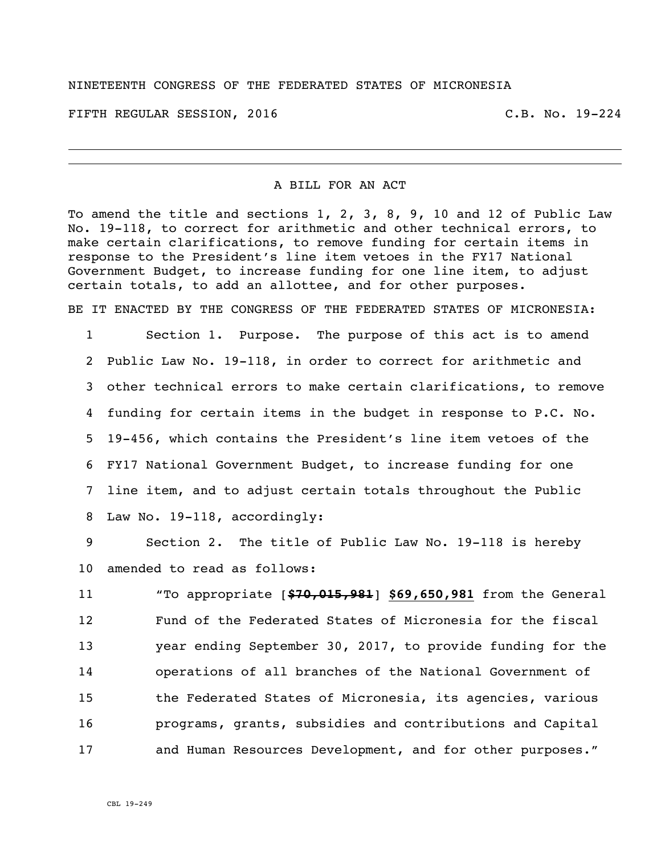#### NINETEENTH CONGRESS OF THE FEDERATED STATES OF MICRONESIA

FIFTH REGULAR SESSION, 2016 C.B. No. 19-224

#### A BILL FOR AN ACT

To amend the title and sections 1, 2, 3, 8, 9, 10 and 12 of Public Law No. 19-118, to correct for arithmetic and other technical errors, to make certain clarifications, to remove funding for certain items in response to the President's line item vetoes in the FY17 National Government Budget, to increase funding for one line item, to adjust certain totals, to add an allottee, and for other purposes.

BE IT ENACTED BY THE CONGRESS OF THE FEDERATED STATES OF MICRONESIA:

 Section 1. Purpose. The purpose of this act is to amend Public Law No. 19-118, in order to correct for arithmetic and other technical errors to make certain clarifications, to remove funding for certain items in the budget in response to P.C. No. 19-456, which contains the President's line item vetoes of the FY17 National Government Budget, to increase funding for one line item, and to adjust certain totals throughout the Public Law No. 19-118, accordingly:

 Section 2. The title of Public Law No. 19-118 is hereby amended to read as follows:

 "To appropriate [**\$70,015,981**] **\$69,650,981** from the General Fund of the Federated States of Micronesia for the fiscal year ending September 30, 2017, to provide funding for the operations of all branches of the National Government of the Federated States of Micronesia, its agencies, various programs, grants, subsidies and contributions and Capital and Human Resources Development, and for other purposes."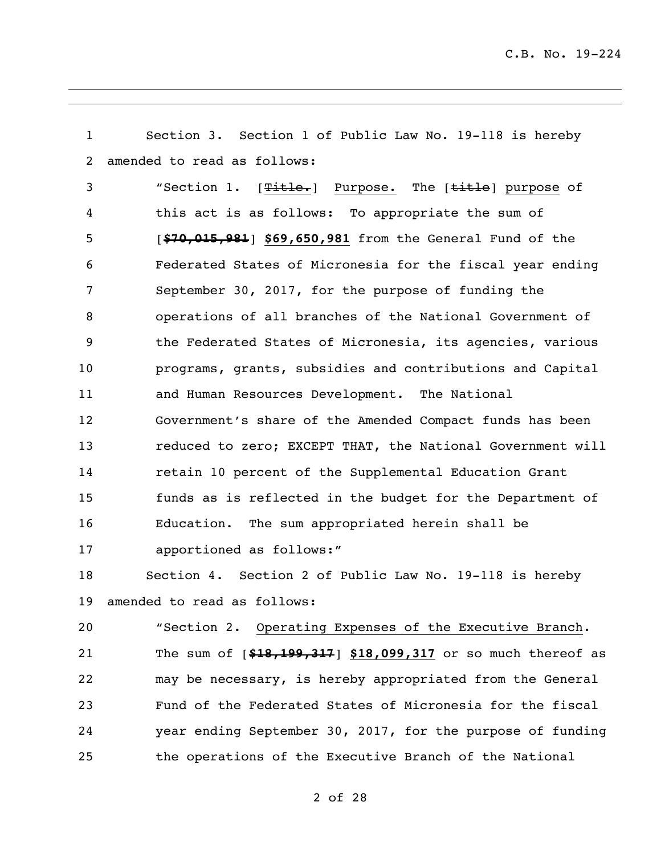Section 3. Section 1 of Public Law No. 19-118 is hereby amended to read as follows: 3 "Section 1. [Title.] Purpose. The [title] purpose of this act is as follows: To appropriate the sum of [**\$70,015,981**] **\$69,650,981** from the General Fund of the Federated States of Micronesia for the fiscal year ending September 30, 2017, for the purpose of funding the operations of all branches of the National Government of the Federated States of Micronesia, its agencies, various programs, grants, subsidies and contributions and Capital and Human Resources Development. The National Government's share of the Amended Compact funds has been reduced to zero; EXCEPT THAT, the National Government will retain 10 percent of the Supplemental Education Grant funds as is reflected in the budget for the Department of Education. The sum appropriated herein shall be apportioned as follows:" Section 4. Section 2 of Public Law No. 19-118 is hereby amended to read as follows: "Section 2. Operating Expenses of the Executive Branch. The sum of [**\$18,199,317**] **\$18,099,317** or so much thereof as may be necessary, is hereby appropriated from the General Fund of the Federated States of Micronesia for the fiscal year ending September 30, 2017, for the purpose of funding

the operations of the Executive Branch of the National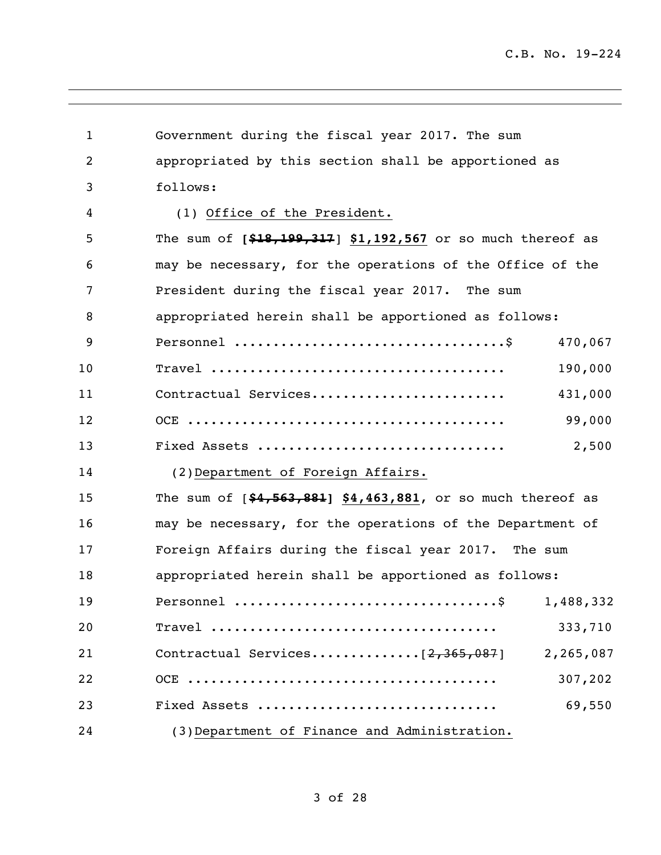| $\mathbf{1}$   | Government during the fiscal year 2017. The sum              |
|----------------|--------------------------------------------------------------|
| $\overline{2}$ | appropriated by this section shall be apportioned as         |
| 3              | follows:                                                     |
| 4              | (1) Office of the President.                                 |
| 5              | The sum of $[$18,199,317]$ \$1,192,567 or so much thereof as |
| 6              | may be necessary, for the operations of the Office of the    |
| 7              | President during the fiscal year 2017. The sum               |
| 8              | appropriated herein shall be apportioned as follows:         |
| 9              | 470,067                                                      |
| 10             | 190,000                                                      |
| 11             | Contractual Services<br>431,000                              |
| 12             | 99,000                                                       |
| 13             | 2,500<br>Fixed Assets                                        |
| 14             | (2) Department of Foreign Affairs.                           |
| 15             | The sum of $[44,563,881]$ \$4,463,881, or so much thereof as |
| 16             | may be necessary, for the operations of the Department of    |
| 17             | Foreign Affairs during the fiscal year 2017. The sum         |
| 18             | appropriated herein shall be apportioned as follows:         |
| 19             | 1,488,332                                                    |
| 20             | 333,710                                                      |
| 21             | 2,265,087                                                    |
| 22             | 307,202                                                      |
| 23             | 69,550<br>Fixed Assets                                       |
| 24             | (3) Department of Finance and Administration.                |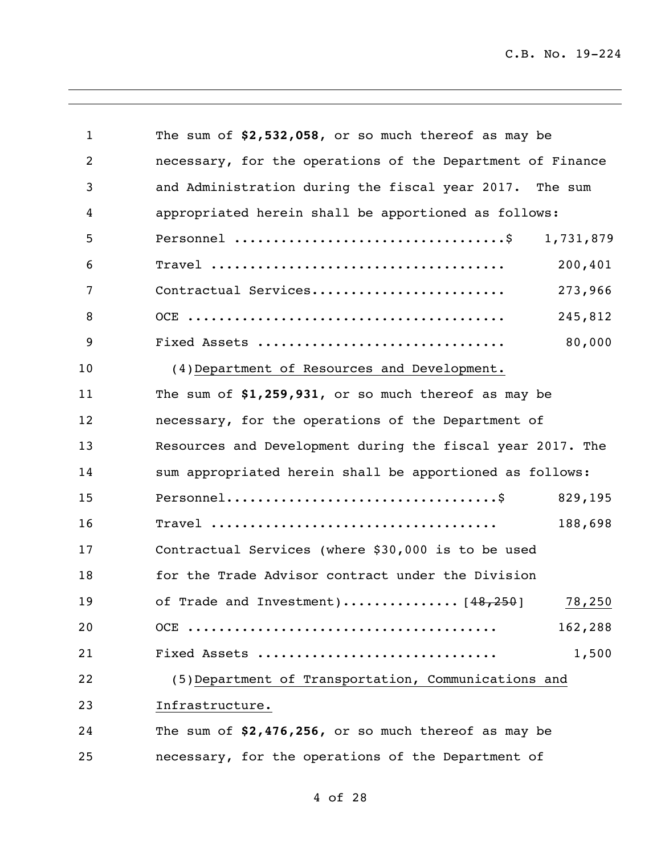| 1  | The sum of $$2,532,058$ , or so much thereof as may be     |           |
|----|------------------------------------------------------------|-----------|
| 2  | necessary, for the operations of the Department of Finance |           |
| 3  | and Administration during the fiscal year 2017. The sum    |           |
| 4  | appropriated herein shall be apportioned as follows:       |           |
| 5  |                                                            | 1,731,879 |
| 6  |                                                            | 200,401   |
| 7  | Contractual Services                                       | 273,966   |
| 8  |                                                            | 245,812   |
| 9  | Fixed Assets                                               | 80,000    |
| 10 | (4) Department of Resources and Development.               |           |
| 11 | The sum of \$1,259,931, or so much thereof as may be       |           |
| 12 | necessary, for the operations of the Department of         |           |
| 13 | Resources and Development during the fiscal year 2017. The |           |
| 14 | sum appropriated herein shall be apportioned as follows:   |           |
| 15 |                                                            | 829,195   |
| 16 |                                                            | 188,698   |
| 17 | Contractual Services (where \$30,000 is to be used         |           |
| 18 | for the Trade Advisor contract under the Division          |           |
| 19 | of Trade and Investment) $[48, 250]$ 78,250                |           |
| 20 |                                                            | 162,288   |
| 21 | Fixed Assets                                               | 1,500     |
| 22 | (5) Department of Transportation, Communications and       |           |
| 23 | Infrastructure.                                            |           |
| 24 | The sum of \$2,476,256, or so much thereof as may be       |           |
| 25 | necessary, for the operations of the Department of         |           |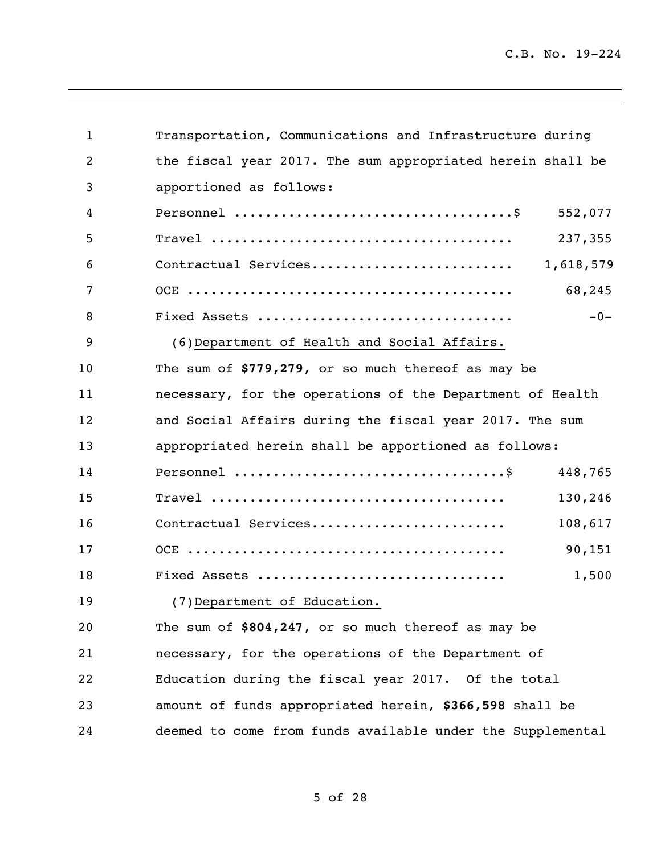| $\mathbf{1}$   | Transportation, Communications and Infrastructure during   |  |
|----------------|------------------------------------------------------------|--|
| $\overline{2}$ | the fiscal year 2017. The sum appropriated herein shall be |  |
| 3              | apportioned as follows:                                    |  |
| 4              | 552,077                                                    |  |
| 5              | 237,355                                                    |  |
| 6              | Contractual Services<br>1,618,579                          |  |
| 7              | 68,245                                                     |  |
| 8              | Fixed Assets<br>$-0-$                                      |  |
| 9              | (6) Department of Health and Social Affairs.               |  |
| 10             | The sum of \$779,279, or so much thereof as may be         |  |
| 11             | necessary, for the operations of the Department of Health  |  |
| 12             | and Social Affairs during the fiscal year 2017. The sum    |  |
| 13             | appropriated herein shall be apportioned as follows:       |  |
| 14             | 448,765                                                    |  |
| 15             | 130,246                                                    |  |
| 16             | Contractual Services<br>108,617                            |  |
| 17             | 90,151                                                     |  |
| 18             | Fixed Assets<br>1,500                                      |  |
| 19             | (7)Department of Education.                                |  |
| 20             | The sum of \$804,247, or so much thereof as may be         |  |
| 21             | necessary, for the operations of the Department of         |  |
| 22             | Education during the fiscal year 2017. Of the total        |  |
| 23             | amount of funds appropriated herein, \$366,598 shall be    |  |
| 24             | deemed to come from funds available under the Supplemental |  |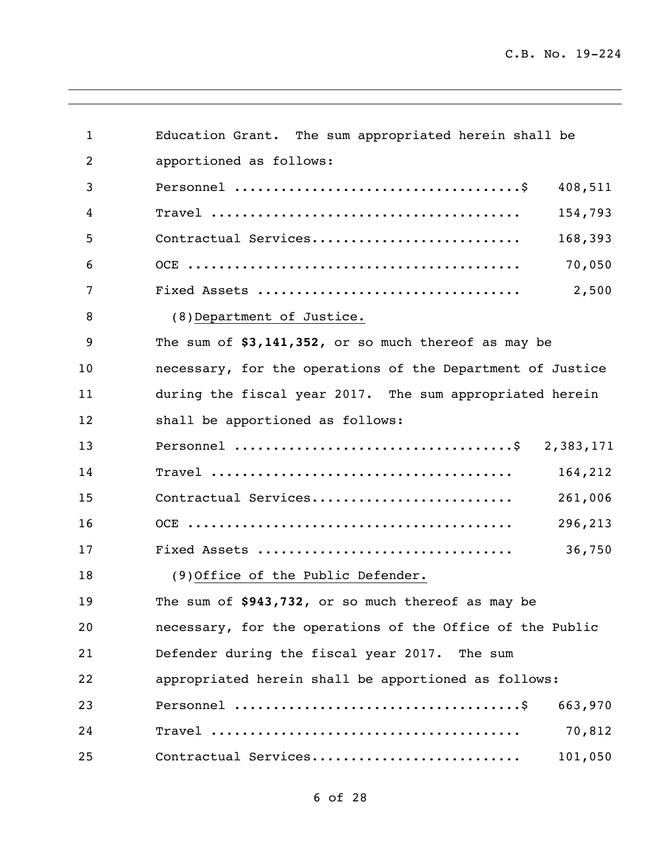| $\mathbf{1}$ | Education Grant. The sum appropriated herein shall be      |
|--------------|------------------------------------------------------------|
| 2            | apportioned as follows:                                    |
| 3            | 408,511                                                    |
| 4            | 154,793                                                    |
| 5            | Contractual Services<br>168,393                            |
| 6            | 70,050                                                     |
| 7            | 2,500                                                      |
| 8            | (8) Department of Justice.                                 |
| 9            | The sum of \$3,141,352, or so much thereof as may be       |
| 10           | necessary, for the operations of the Department of Justice |
| 11           | during the fiscal year 2017. The sum appropriated herein   |
| 12           | shall be apportioned as follows:                           |
| 13           |                                                            |
| 14           | 164,212                                                    |
| 15           | Contractual Services<br>261,006                            |
| 16           | 296,213                                                    |
| 17           | 36,750                                                     |
| 18           | (9) Office of the Public Defender.                         |
| 19           | The sum of \$943,732, or so much thereof as may be         |
| 20           | necessary, for the operations of the Office of the Public  |
| 21           | Defender during the fiscal year 2017. The sum              |
| 22           | appropriated herein shall be apportioned as follows:       |
| 23           | 663,970                                                    |
| 24           | 70,812                                                     |
| 25           | Contractual Services<br>101,050                            |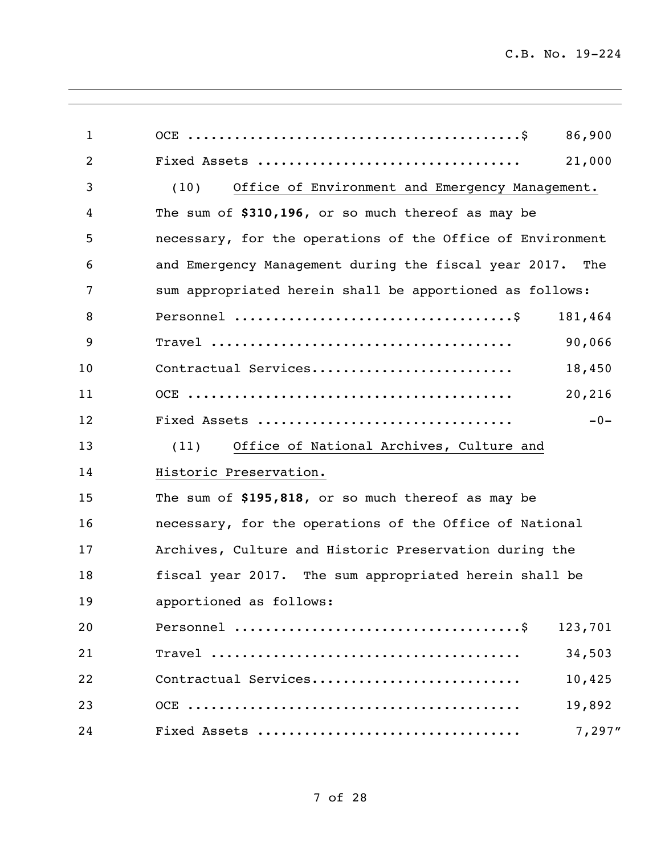| $\mathbf{1}$   |                                                            | 86,900  |
|----------------|------------------------------------------------------------|---------|
| $\overline{2}$ |                                                            | 21,000  |
| 3              | Office of Environment and Emergency Management.<br>(10)    |         |
| 4              | The sum of \$310,196, or so much thereof as may be         |         |
| 5              | necessary, for the operations of the Office of Environment |         |
| 6              | and Emergency Management during the fiscal year 2017.      | The     |
| 7              | sum appropriated herein shall be apportioned as follows:   |         |
| 8              |                                                            | 181,464 |
| 9              |                                                            | 90,066  |
| 10             | Contractual Services                                       | 18,450  |
| 11             |                                                            | 20,216  |
| 12             | Fixed Assets                                               | $-0-$   |
| 13             | Office of National Archives, Culture and<br>(11)           |         |
| 14             | Historic Preservation.                                     |         |
| 15             | The sum of \$195,818, or so much thereof as may be         |         |
| 16             | necessary, for the operations of the Office of National    |         |
| 17             | Archives, Culture and Historic Preservation during the     |         |
| 18             | fiscal year 2017. The sum appropriated herein shall be     |         |
| 19             | apportioned as follows:                                    |         |
| 20             |                                                            | 123,701 |
| 21             |                                                            | 34,503  |
| 22             | Contractual Services                                       | 10,425  |
| 23             |                                                            | 19,892  |
| 24             |                                                            | 7,297"  |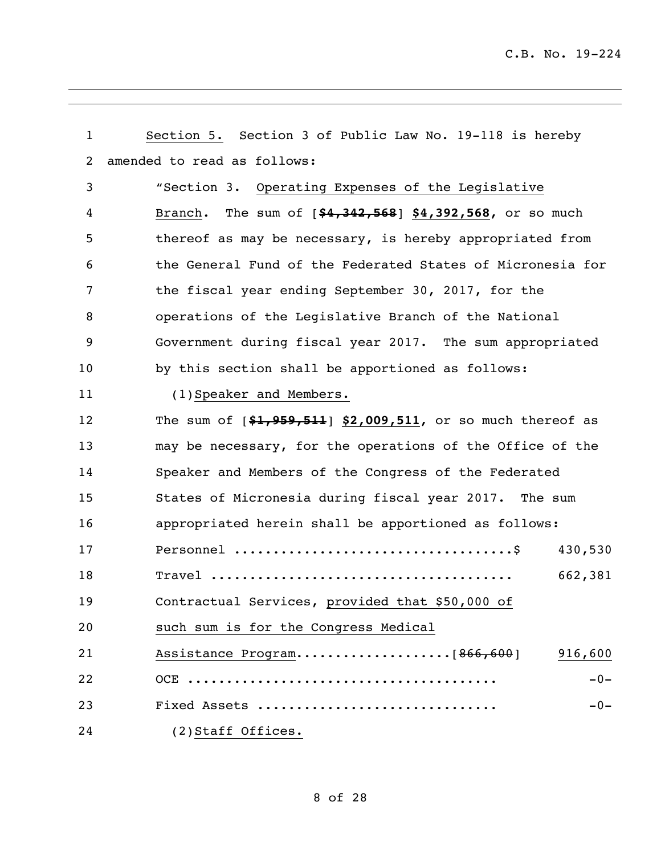| $\mathbf{1}$ | Section 5. Section 3 of Public Law No. 19-118 is hereby        |
|--------------|----------------------------------------------------------------|
| 2            | amended to read as follows:                                    |
| 3            | "Section 3. Operating Expenses of the Legislative              |
| 4            | Branch. The sum of [\$4,342,568] \$4,392,568, or so much       |
| 5            | thereof as may be necessary, is hereby appropriated from       |
| 6            | the General Fund of the Federated States of Micronesia for     |
| 7            | the fiscal year ending September 30, 2017, for the             |
| 8            | operations of the Legislative Branch of the National           |
| 9            | Government during fiscal year 2017. The sum appropriated       |
| 10           | by this section shall be apportioned as follows:               |
| 11           | (1) Speaker and Members.                                       |
| 12           | The sum of $[41, 959, 511]$ \$2,009,511, or so much thereof as |
| 13           | may be necessary, for the operations of the Office of the      |
| 14           | Speaker and Members of the Congress of the Federated           |
| 15           | States of Micronesia during fiscal year 2017. The sum          |
| 16           | appropriated herein shall be apportioned as follows:           |
| 17           | 430,530                                                        |
| 18           | 662,381                                                        |
| 19           | Contractual Services, provided that \$50,000 of                |
| 20           | such sum is for the Congress Medical                           |
| 21           | 916,600                                                        |
| 22           | $-0-$                                                          |
| 23           | Fixed Assets<br>$-0-$                                          |
| 24           | (2) Staff Offices.                                             |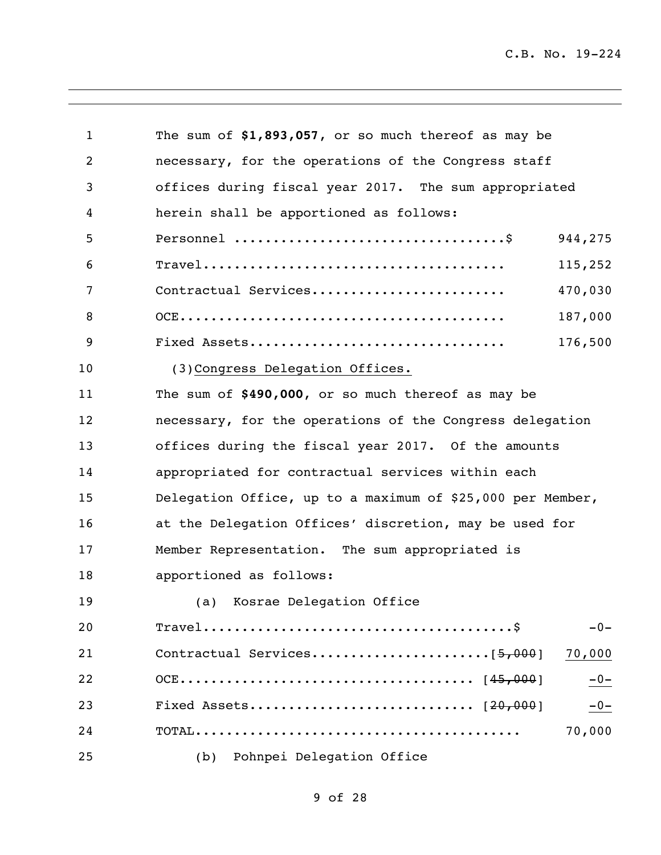| $\mathbf{1}$   | The sum of \$1,893,057, or so much thereof as may be                                |  |
|----------------|-------------------------------------------------------------------------------------|--|
| $\overline{2}$ | necessary, for the operations of the Congress staff                                 |  |
| 3              | offices during fiscal year 2017. The sum appropriated                               |  |
| 4              | herein shall be apportioned as follows:                                             |  |
| 5              | Personnel $\dots\dots\dots\dots\dots\dots\dots\dots\dots\dots\dots\dots$<br>944,275 |  |
| 6              | 115,252                                                                             |  |
| 7              | 470,030<br>Contractual Services                                                     |  |
| 8              | 187,000                                                                             |  |
| 9              | 176,500<br>Fixed Assets                                                             |  |
| 10             | (3) Congress Delegation Offices.                                                    |  |
| 11             | The sum of \$490,000, or so much thereof as may be                                  |  |
| 12             | necessary, for the operations of the Congress delegation                            |  |
| 13             | offices during the fiscal year 2017. Of the amounts                                 |  |
| 14             | appropriated for contractual services within each                                   |  |
| 15             | Delegation Office, up to a maximum of \$25,000 per Member,                          |  |
| 16             | at the Delegation Offices' discretion, may be used for                              |  |
| 17             | Member Representation. The sum appropriated is                                      |  |
| 18             | apportioned as follows:                                                             |  |
| 19             | (a) Kosrae Delegation Office                                                        |  |
| 20             | $-0-$                                                                               |  |
| 21             | 70,000                                                                              |  |
| 22             | $-0-$                                                                               |  |
| 23             | $-0-$                                                                               |  |
| 24             | 70,000                                                                              |  |
| 25             | Pohnpei Delegation Office<br>(b)                                                    |  |

## of 28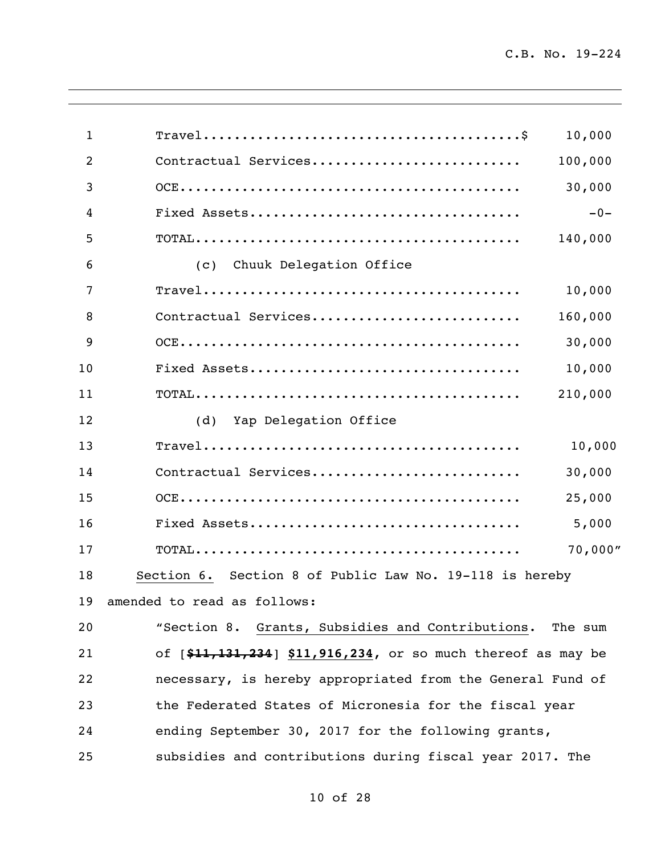| $\mathbf{1}$   |                                                              | 10,000  |
|----------------|--------------------------------------------------------------|---------|
| $\overline{2}$ | Contractual Services                                         | 100,000 |
| 3              |                                                              | 30,000  |
| 4              |                                                              | $-0-$   |
| 5              |                                                              | 140,000 |
| 6              | (C)<br>Chuuk Delegation Office                               |         |
| 7              |                                                              | 10,000  |
| 8              | Contractual Services                                         | 160,000 |
| 9              |                                                              | 30,000  |
| 10             |                                                              | 10,000  |
| 11             |                                                              | 210,000 |
| 12             | (d) Yap Delegation Office                                    |         |
| 13             |                                                              | 10,000  |
| 14             | Contractual Services                                         | 30,000  |
| 15             |                                                              | 25,000  |
| 16             |                                                              | 5,000   |
| 17             |                                                              | 70,000" |
| 18             | Section 6. Section 8 of Public Law No. 19-118 is hereby      |         |
| 19             | amended to read as follows:                                  |         |
| 20             | "Section 8. Grants, Subsidies and Contributions.             | The sum |
| 21             | of [\$11,131,234] \$11,916,234, or so much thereof as may be |         |
| 22             | necessary, is hereby appropriated from the General Fund of   |         |
| 23             | the Federated States of Micronesia for the fiscal year       |         |
| 24             | ending September 30, 2017 for the following grants,          |         |
| 25             | subsidies and contributions during fiscal year 2017. The     |         |
|                |                                                              |         |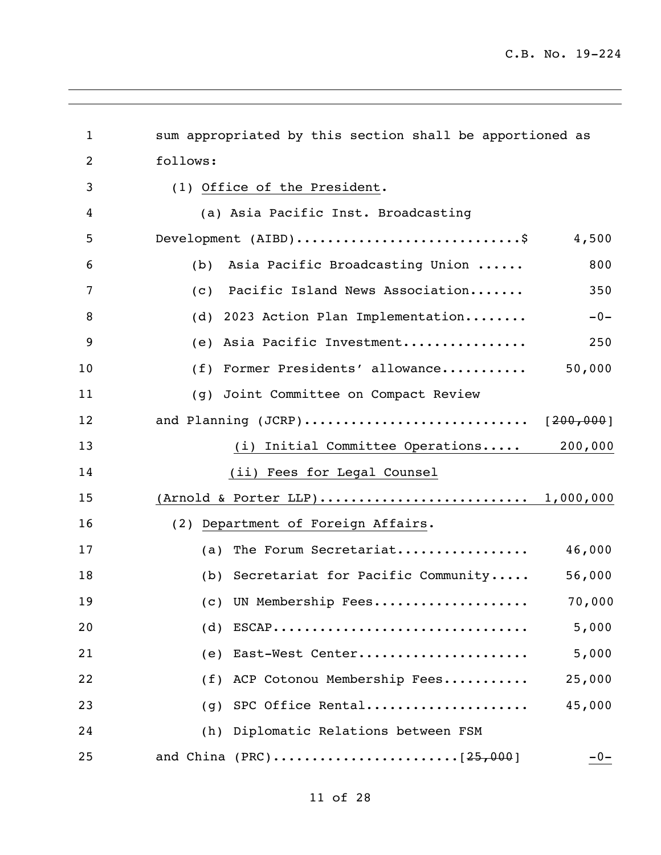| $\mathbf{1}$   | sum appropriated by this section shall be apportioned as |
|----------------|----------------------------------------------------------|
| $\overline{2}$ | follows:                                                 |
| 3              | (1) Office of the President.                             |
| 4              | (a) Asia Pacific Inst. Broadcasting                      |
| 5              | Development (AIBD)\$<br>4,500                            |
| 6              | Asia Pacific Broadcasting Union<br>800<br>(b)            |
| 7              | Pacific Island News Association<br>350<br>(C)            |
| 8              | (d) 2023 Action Plan Implementation<br>$-0-$             |
| 9              | 250<br>(e) Asia Pacific Investment                       |
| 10             | 50,000<br>(f) Former Presidents' allowance               |
| 11             | (g) Joint Committee on Compact Review                    |
| 12             | and Planning (JCRP) [200,000]                            |
| 13             | (i) Initial Committee Operations<br>200,000              |
| 14             | (ii) Fees for Legal Counsel                              |
| 15             | (Arnold & Porter LLP) 1,000,000                          |
| 16             | (2) Department of Foreign Affairs.                       |
| 17             | (a) The Forum Secretariat $46,000$                       |
| 18             | (b) Secretariat for Pacific Community<br>56,000          |
| 19             | (c) UN Membership Fees<br>70,000                         |
| 20             | $(d)$ ESCAP<br>5,000                                     |
| 21             | East-West Center<br>5,000<br>(e)                         |
| 22             | 25,000<br>ACP Cotonou Membership Fees<br>(f)             |
| 23             | SPC Office Rental<br>45,000<br>(q)                       |
| 24             | Diplomatic Relations between FSM<br>(h)                  |
| 25             | $-0-$                                                    |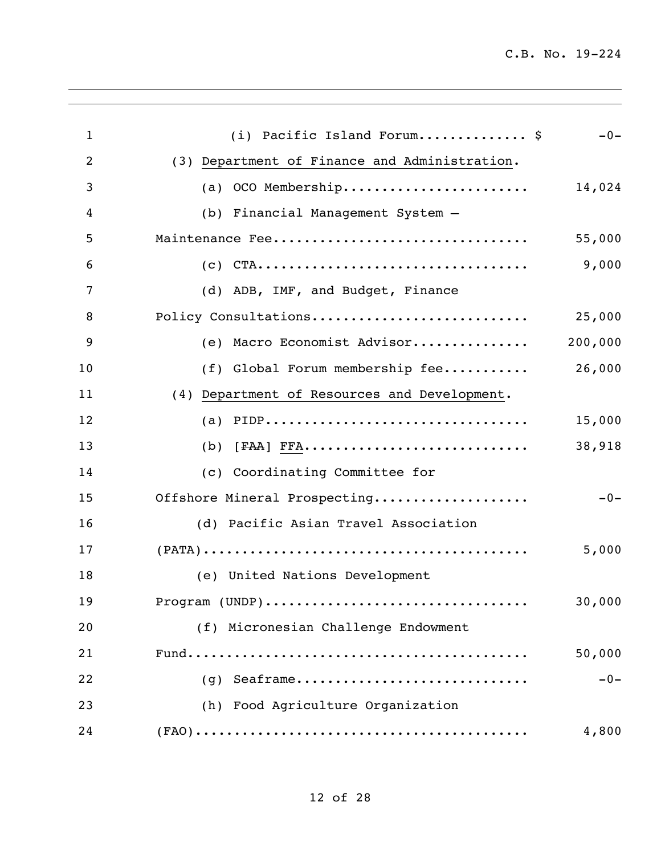| 1  | (i) Pacific Island Forum \$                                                                        | $-0-$   |
|----|----------------------------------------------------------------------------------------------------|---------|
| 2  | (3) Department of Finance and Administration.                                                      |         |
| 3  | (a) OCO Membership                                                                                 | 14,024  |
| 4  | (b) Financial Management System -                                                                  |         |
| 5  | Maintenance Fee                                                                                    | 55,000  |
| 6  |                                                                                                    | 9,000   |
| 7  | (d) ADB, IMF, and Budget, Finance                                                                  |         |
| 8  | Policy Consultations                                                                               | 25,000  |
| 9  | (e) Macro Economist Advisor                                                                        | 200,000 |
| 10 | (f) Global Forum membership fee                                                                    | 26,000  |
| 11 | (4) Department of Resources and Development.                                                       |         |
| 12 |                                                                                                    | 15,000  |
| 13 |                                                                                                    | 38,918  |
| 14 | (c) Coordinating Committee for                                                                     |         |
| 15 | Offshore Mineral Prospecting                                                                       | $-0-$   |
| 16 | (d) Pacific Asian Travel Association                                                               |         |
| 17 | $(PATA) \dots \dots \dots \dots \dots \dots \dots \dots \dots \dots \dots \dots \dots \dots \dots$ | 5,000   |
| 18 | (e) United Nations Development                                                                     |         |
| 19 | Program (UNDP)                                                                                     | 30,000  |
| 20 | (f) Micronesian Challenge Endowment                                                                |         |
| 21 |                                                                                                    | 50,000  |
| 22 | $(g)$ Seaframe                                                                                     | $-0-$   |
| 23 | (h) Food Agriculture Organization                                                                  |         |
| 24 |                                                                                                    | 4,800   |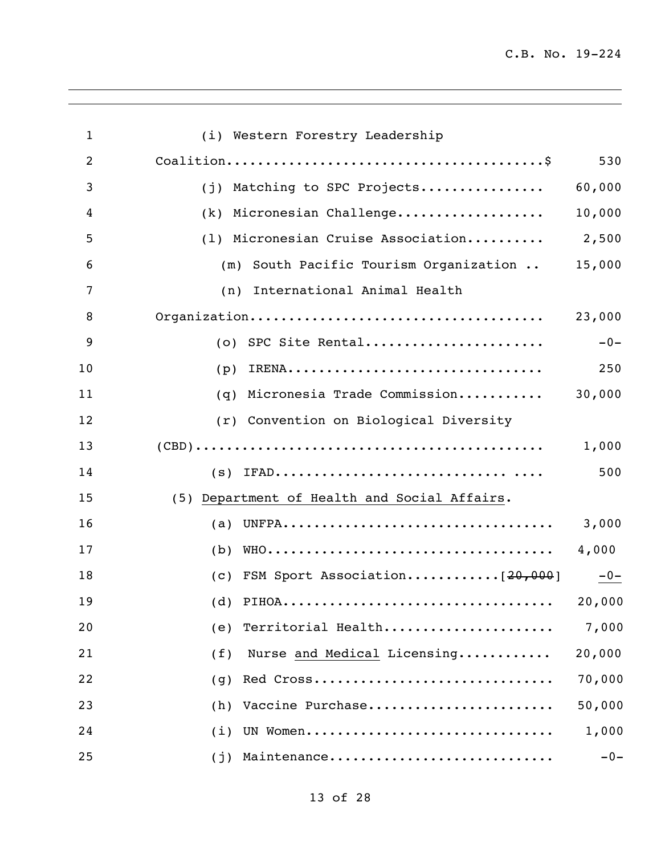| $\mathbf{1}$   | (i) Western Forestry Leadership                                                                 |        |
|----------------|-------------------------------------------------------------------------------------------------|--------|
| $\overline{2}$ |                                                                                                 | 530    |
| 3              | (j) Matching to SPC Projects                                                                    | 60,000 |
| 4              | (k) Micronesian Challenge                                                                       | 10,000 |
| 5              | (1) Micronesian Cruise Association                                                              | 2,500  |
| 6              | (m) South Pacific Tourism Organization                                                          | 15,000 |
| 7              | (n) International Animal Health                                                                 |        |
| 8              |                                                                                                 | 23,000 |
| 9              | (o) SPC Site Rental                                                                             | $-0-$  |
| 10             | (p)                                                                                             | 250    |
| 11             | Micronesia Trade Commission<br>(q)                                                              | 30,000 |
| 12             | (r) Convention on Biological Diversity                                                          |        |
| 13             |                                                                                                 | 1,000  |
| 14             |                                                                                                 | 500    |
| 15             | (5) Department of Health and Social Affairs.                                                    |        |
| 16             |                                                                                                 | 3,000  |
| 17             | (b)                                                                                             | 4,000  |
| 18             | (c) FSM Sport Association[ $20,000$ ]                                                           | $-0-$  |
| 19             | (d) $PIHOA \ldots \ldots \ldots \ldots \ldots \ldots \ldots \ldots \ldots \ldots \ldots \ldots$ | 20,000 |
| 20             | Territorial Health<br>(e)                                                                       | 7,000  |
| 21             | Nurse and Medical Licensing<br>(f)                                                              | 20,000 |
| 22             | Red Cross<br>(q)                                                                                | 70,000 |
| 23             | Vaccine Purchase<br>(h)                                                                         | 50,000 |
| 24             | UN Women<br>(i)                                                                                 | 1,000  |
| 25             | Maintenance<br>(j)                                                                              | $-0-$  |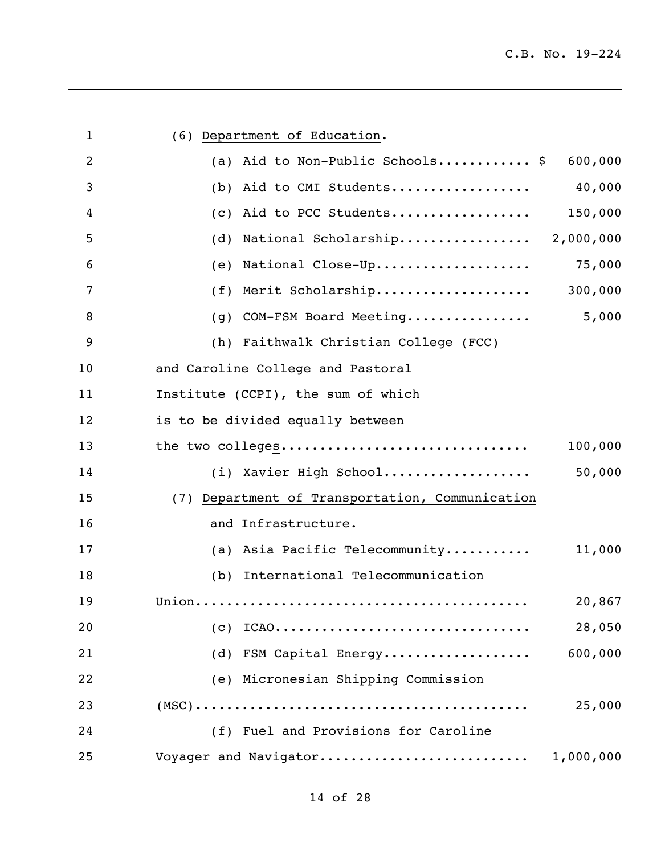| 1              | (6) Department of Education.                    |
|----------------|-------------------------------------------------|
| $\overline{2}$ | (a) Aid to Non-Public Schools \$<br>600,000     |
| 3              | Aid to CMI Students<br>40,000<br>(b)            |
| 4              | Aid to PCC Students<br>150,000<br>(C)           |
| 5              | National Scholarship 2,000,000<br>(d)           |
| 6              | National Close-Up<br>75,000<br>(e)              |
| 7              | Merit Scholarship 300,000<br>(f)                |
| 8              | 5,000<br>COM-FSM Board Meeting<br>(g)           |
| 9              | (h) Faithwalk Christian College (FCC)           |
| 10             | and Caroline College and Pastoral               |
| 11             | Institute (CCPI), the sum of which              |
| 12             | is to be divided equally between                |
| 13             | the two colleges<br>100,000                     |
| 14             | (i) Xavier High School<br>50,000                |
| 15             | (7) Department of Transportation, Communication |
| 16             | and Infrastructure.                             |
| 17             | (a) Asia Pacific Telecommunity<br>11,000        |
| 18             | International Telecommunication<br>(b)          |
| 19             | 20,867                                          |
| 20             | $(C)$ ICAO<br>28,050                            |
| 21             | 600,000<br>(d) FSM Capital Energy               |
| 22             | (e) Micronesian Shipping Commission             |
| 23             | 25,000                                          |
| 24             | (f) Fuel and Provisions for Caroline            |
| 25             | Voyager and Navigator<br>1,000,000              |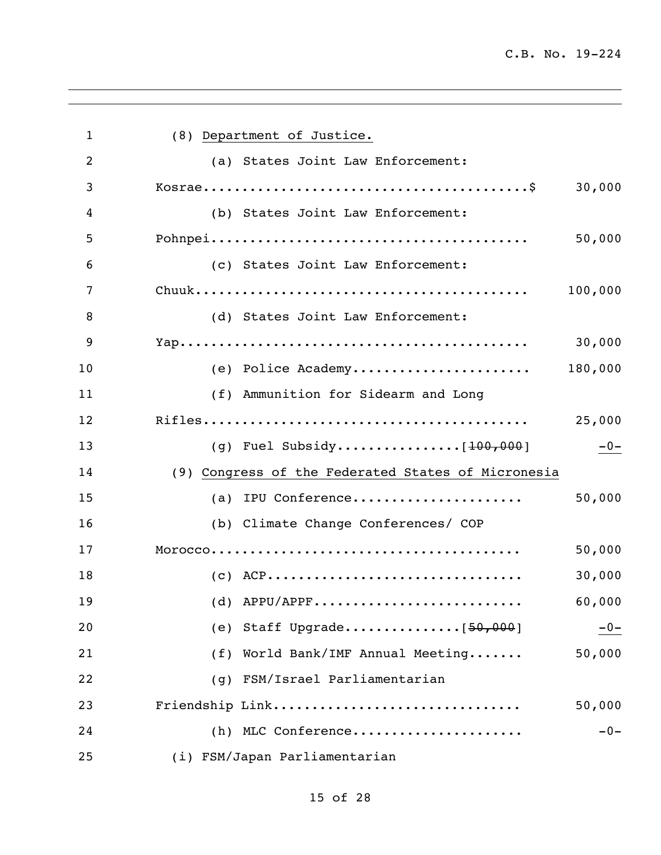| $\mathbf{1}$ | (8) Department of Justice.                                                                   |         |
|--------------|----------------------------------------------------------------------------------------------|---------|
| 2            | (a) States Joint Law Enforcement:                                                            |         |
| 3            | $Kosrae \ldots \ldots \ldots \ldots \ldots \ldots \ldots \ldots \ldots \ldots \ldots \ldots$ | 30,000  |
| 4            | (b) States Joint Law Enforcement:                                                            |         |
| 5            |                                                                                              | 50,000  |
| 6            | (c) States Joint Law Enforcement:                                                            |         |
| 7            |                                                                                              | 100,000 |
| 8            | (d) States Joint Law Enforcement:                                                            |         |
| 9            |                                                                                              | 30,000  |
| 10           | (e) Police Academy                                                                           | 180,000 |
| 11           | (f) Ammunition for Sidearm and Long                                                          |         |
| 12           |                                                                                              | 25,000  |
| 13           |                                                                                              | $-0-$   |
| 14           | (9) Congress of the Federated States of Micronesia                                           |         |
| 15           | (a) IPU Conference                                                                           | 50,000  |
| 16           | (b) Climate Change Conferences/ COP                                                          |         |
| 17           |                                                                                              | 50,000  |
| 18           | $(C)$ ACP                                                                                    | 30,000  |
| 19           | $(d)$ APPU/APPF                                                                              | 60,000  |
| 20           |                                                                                              | $-0-$   |
| 21           | World Bank/IMF Annual Meeting<br>(f)                                                         | 50,000  |
| 22           | FSM/Israel Parliamentarian<br>(q)                                                            |         |
| 23           | Friendship Link                                                                              | 50,000  |
| 24           | (h) MLC Conference                                                                           | $-0-$   |
| 25           | (i) FSM/Japan Parliamentarian                                                                |         |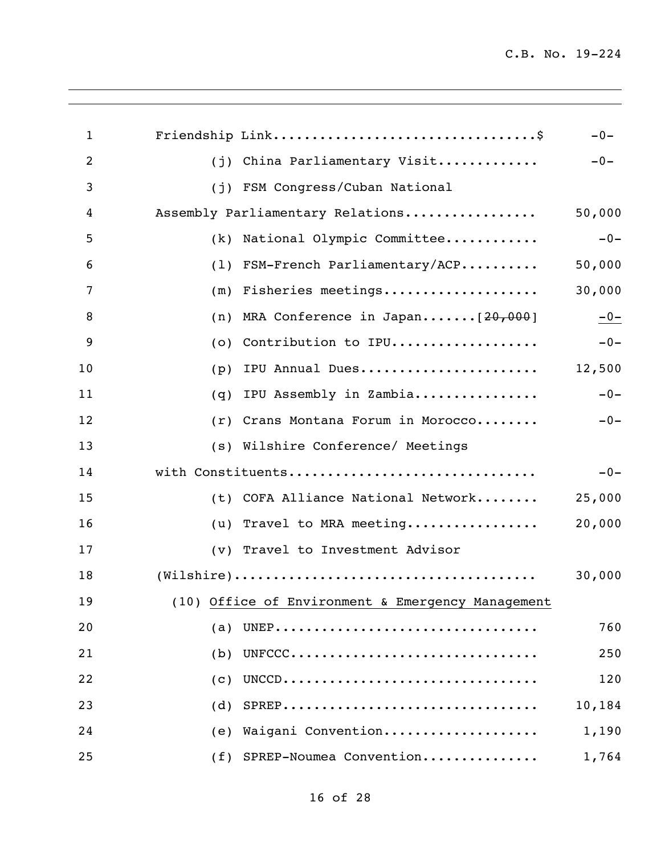| $\mathbf{1}$ |                                                                                                     | $-0-$  |
|--------------|-----------------------------------------------------------------------------------------------------|--------|
| 2            | China Parliamentary Visit<br>(i)                                                                    | $-0-$  |
| 3            | FSM Congress/Cuban National<br>(i)                                                                  |        |
| 4            | Assembly Parliamentary Relations                                                                    | 50,000 |
| 5            | National Olympic Committee<br>(k)                                                                   | $-0-$  |
| 6            | FSM-French Parliamentary/ACP<br>(1)                                                                 | 50,000 |
| 7            | Fisheries meetings<br>(m)                                                                           | 30,000 |
| 8            | MRA Conference in Japan [20,000]<br>(n)                                                             | $-0-$  |
| 9            | Contribution to IPU<br>(0)                                                                          | $-0-$  |
| 10           | IPU Annual Dues<br>(p)                                                                              | 12,500 |
| 11           | IPU Assembly in Zambia<br>(q)                                                                       | $-0-$  |
| 12           | Crans Montana Forum in Morocco<br>(r)                                                               | $-0-$  |
| 13           | (s) Wilshire Conference/ Meetings                                                                   |        |
| 14           | with Constituents                                                                                   | $-0-$  |
| 15           | COFA Alliance National Network<br>(t)                                                               | 25,000 |
| 16           | Travel to MRA meeting<br>(u)                                                                        | 20,000 |
| 17           | (v) Travel to Investment Advisor                                                                    |        |
| 18           | $(\texttt{Wilshire}) \dots \dots \dots \dots \dots \dots \dots \dots \dots \dots \dots \dots \dots$ | 30,000 |
| 19           | (10) Office of Environment & Emergency Management                                                   |        |
| 20           | (a)                                                                                                 | 760    |
| 21           | (b)<br>UNFCCC                                                                                       | 250    |
| 22           | (C)                                                                                                 | 120    |
| 23           | $SPREP$<br>(d)                                                                                      | 10,184 |
| 24           | Waigani Convention<br>(e)                                                                           | 1,190  |
| 25           | (f) SPREP-Noumea Convention                                                                         | 1,764  |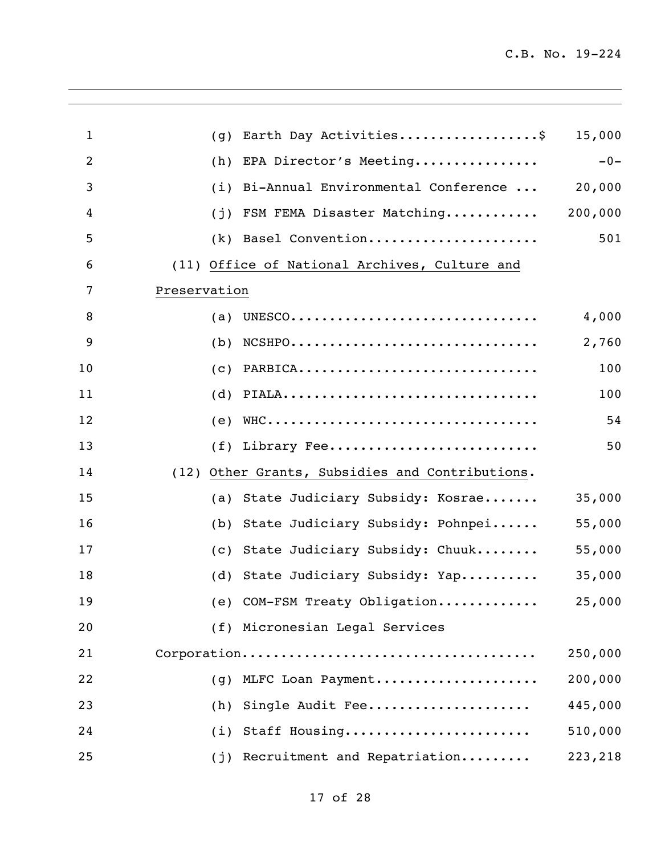| $\mathbf{1}$ | (q)          | Earth Day Activities\$                          | 15,000  |
|--------------|--------------|-------------------------------------------------|---------|
| 2            | (h)          | EPA Director's Meeting                          | $-0-$   |
| 3            | (i)          | Bi-Annual Environmental Conference              | 20,000  |
| 4            | (i)          | FSM FEMA Disaster Matching                      | 200,000 |
| 5            | (k)          | Basel Convention                                | 501     |
| 6            |              | (11) Office of National Archives, Culture and   |         |
| 7            | Preservation |                                                 |         |
| 8            | (a)          | UNESCO                                          | 4,000   |
| 9            | (b)          | $NCSHP0$                                        | 2,760   |
| 10           | (C)          | PARBICA                                         | 100     |
| 11           | (d)          | PIALA                                           | 100     |
| 12           | (e)          |                                                 | 54      |
| 13           | (f)          | Library Fee                                     | 50      |
| 14           |              | (12) Other Grants, Subsidies and Contributions. |         |
| 15           | (a)          | State Judiciary Subsidy: Kosrae                 | 35,000  |
| 16           | (b)          | State Judiciary Subsidy: Pohnpei                | 55,000  |
| 17           | (C)          | State Judiciary Subsidy: Chuuk                  | 55,000  |
| 18           |              | (d) State Judiciary Subsidy: Yap                | 35,000  |
| 19           |              | (e) COM-FSM Treaty Obligation                   | 25,000  |
| 20           |              | (f) Micronesian Legal Services                  |         |
| 21           |              |                                                 | 250,000 |
| 22           | (q)          | MLFC Loan Payment                               | 200,000 |
| 23           | (h)          | Single Audit Fee                                | 445,000 |
| 24           |              | (i) Staff Housing                               | 510,000 |
| 25           | (j)          | Recruitment and Repatriation                    | 223,218 |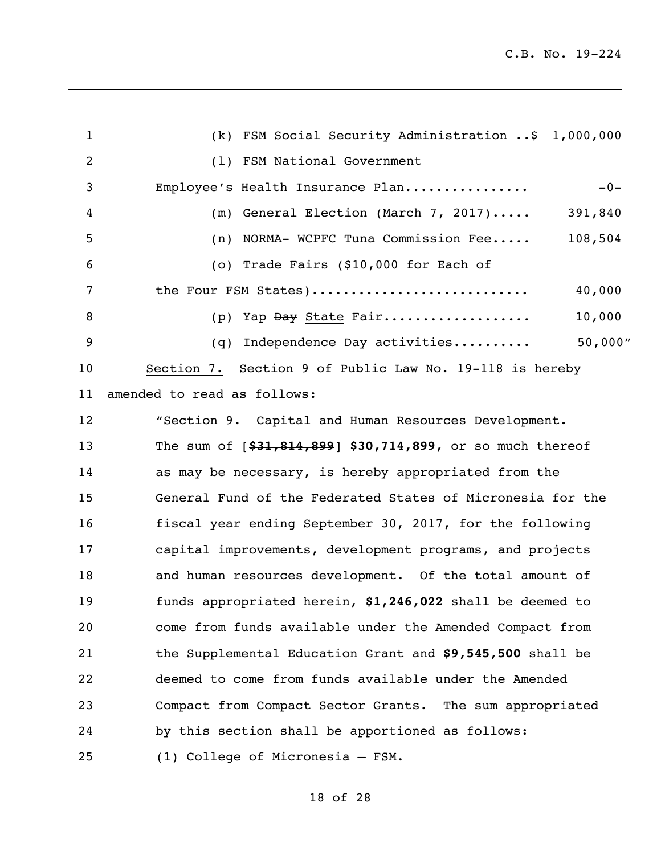| $\mathbf{1}$   | (k) FSM Social Security Administration \$ 1,000,000         |
|----------------|-------------------------------------------------------------|
| $\overline{c}$ | (1) FSM National Government                                 |
| 3              | Employee's Health Insurance Plan<br>$-0-$                   |
| 4              | General Election (March 7, 2017)<br>391,840<br>(m)          |
| 5              | NORMA- WCPFC Tuna Commission Fee<br>108,504<br>(n)          |
| 6              | (o) Trade Fairs (\$10,000 for Each of                       |
| 7              | the Four FSM States)<br>40,000                              |
| 8              | 10,000<br>Yap Day State Fair<br>(p)                         |
| 9              | 50,000''<br>Independence Day activities<br>(q)              |
| 10             | Section 7. Section 9 of Public Law No. 19-118 is hereby     |
| 11             | amended to read as follows:                                 |
| 12             | "Section 9. Capital and Human Resources Development.        |
| 13             | The sum of $[$31,814,899]$ \$30,714,899, or so much thereof |
| 14             | as may be necessary, is hereby appropriated from the        |
| 15             | General Fund of the Federated States of Micronesia for the  |
| 16             | fiscal year ending September 30, 2017, for the following    |
| 17             | capital improvements, development programs, and projects    |
| 18             | and human resources development. Of the total amount of     |
| 19             | funds appropriated herein, \$1,246,022 shall be deemed to   |
| 20             | come from funds available under the Amended Compact from    |
| 21             | the Supplemental Education Grant and \$9,545,500 shall be   |
| 22             | deemed to come from funds available under the Amended       |
| 23             | Compact from Compact Sector Grants. The sum appropriated    |
| 24             | by this section shall be apportioned as follows:            |
| 25             | (1) College of Micronesia - FSM.                            |

# of 28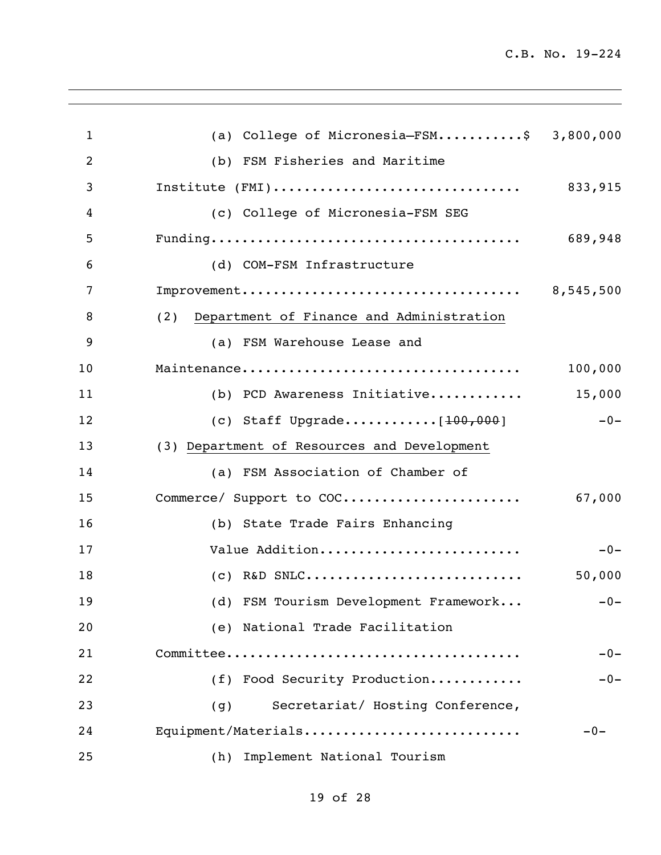| $\mathbf{1}$   | (a) College of Micronesia-FSM\$ 3,800,000       |           |
|----------------|-------------------------------------------------|-----------|
| $\overline{2}$ | (b) FSM Fisheries and Maritime                  |           |
| 3              | Institute (FMI)                                 | 833,915   |
| 4              | (c) College of Micronesia-FSM SEG               |           |
| 5              |                                                 | 689,948   |
| 6              | (d) COM-FSM Infrastructure                      |           |
| 7              |                                                 | 8,545,500 |
| 8              | Department of Finance and Administration<br>(2) |           |
| 9              | (a) FSM Warehouse Lease and                     |           |
| 10             |                                                 | 100,000   |
| 11             | (b) PCD Awareness Initiative                    | 15,000    |
| 12             | (c) Staff Upgrade $[100, 000]$                  | $-0-$     |
| 13             | (3) Department of Resources and Development     |           |
| 14             | (a) FSM Association of Chamber of               |           |
| 15             | Commerce/ Support to COC                        | 67,000    |
| 16             | (b) State Trade Fairs Enhancing                 |           |
| 17             | Value Addition                                  | $-0-$     |
| 18             | $(C)$ R&D SNLC                                  | 50,000    |
| 19             | (d) FSM Tourism Development Framework           | $-0-$     |
| 20             | (e) National Trade Facilitation                 |           |
| 21             |                                                 | $-0-$     |
| 22             | (f) Food Security Production                    | $-0-$     |
| 23             | Secretariat/ Hosting Conference,<br>(g)         |           |
| 24             | Equipment/Materials                             | $-0-$     |
| 25             | (h)<br>Implement National Tourism               |           |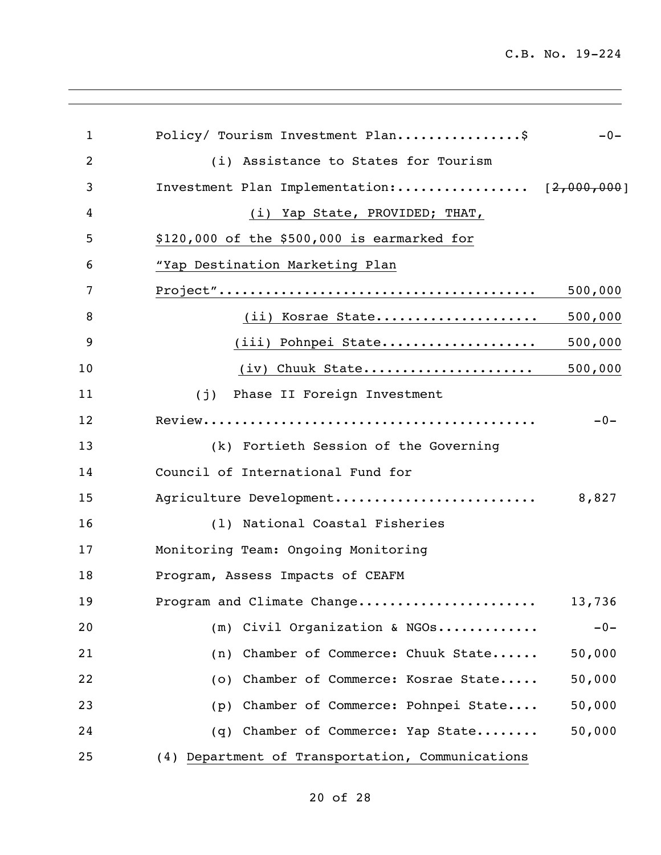| $\mathbf{1}$   | Policy/ Tourism Investment Plan\$                | $-0-$   |
|----------------|--------------------------------------------------|---------|
| $\overline{2}$ | (i) Assistance to States for Tourism             |         |
| 3              | Investment Plan Implementation: [2,000,000]      |         |
| 4              | (i) Yap State, PROVIDED; THAT,                   |         |
| 5              | $$120,000$ of the $$500,000$ is earmarked for    |         |
| 6              | "Yap Destination Marketing Plan                  |         |
| 7              |                                                  | 500,000 |
| 8              | (ii) Kosrae State                                | 500,000 |
| 9              | (iii) Pohnpei State                              | 500,000 |
| 10             | (iv) Chuuk State                                 | 500,000 |
| 11             | (j) Phase II Foreign Investment                  |         |
| 12             |                                                  | $-0-$   |
| 13             | (k) Fortieth Session of the Governing            |         |
| 14             | Council of International Fund for                |         |
| 15             | Agriculture Development                          | 8,827   |
| 16             | (1) National Coastal Fisheries                   |         |
| 17             | Monitoring Team: Ongoing Monitoring              |         |
| 18             | Program, Assess Impacts of CEAFM                 |         |
| 19             | Program and Climate Change                       | 13,736  |
| 20             | (m) Civil Organization & NGOs                    | $-0-$   |
| 21             | (n) Chamber of Commerce: Chuuk State             | 50,000  |
| 22             | (o) Chamber of Commerce: Kosrae State            | 50,000  |
| 23             | (p) Chamber of Commerce: Pohnpei State           | 50,000  |
| 24             | (q) Chamber of Commerce: Yap State               | 50,000  |
| 25             | (4) Department of Transportation, Communications |         |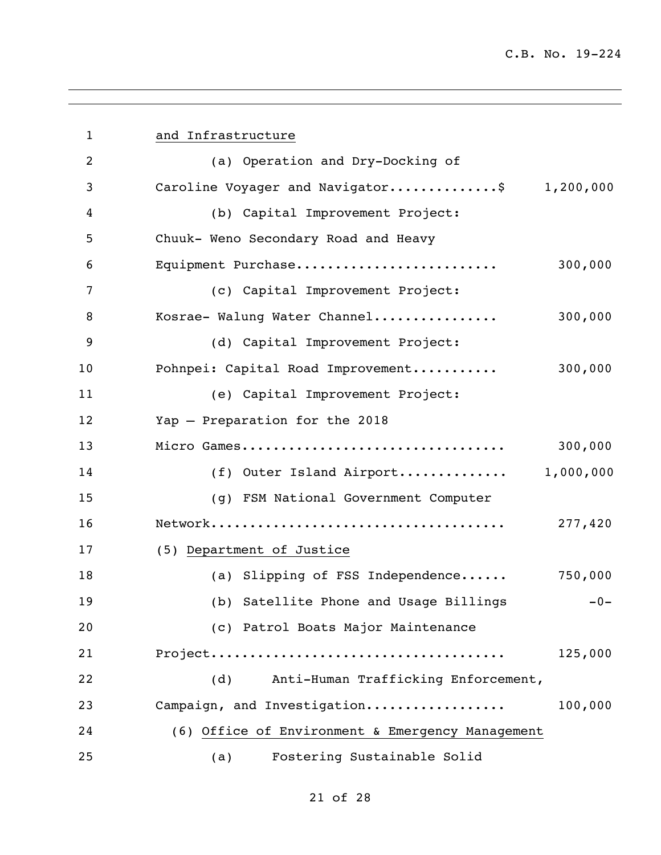| $\mathbf{1}$   | and Infrastructure                               |
|----------------|--------------------------------------------------|
| $\overline{2}$ | (a) Operation and Dry-Docking of                 |
| 3              | Caroline Voyager and Navigator\$<br>1,200,000    |
| 4              | (b) Capital Improvement Project:                 |
| 5              | Chuuk- Weno Secondary Road and Heavy             |
| 6              | 300,000<br>Equipment Purchase                    |
| 7              | (c) Capital Improvement Project:                 |
| 8              | Kosrae- Walung Water Channel<br>300,000          |
| 9              | (d) Capital Improvement Project:                 |
| 10             | 300,000<br>Pohnpei: Capital Road Improvement     |
| 11             | (e) Capital Improvement Project:                 |
| 12             | Yap - Preparation for the 2018                   |
| 13             | 300,000<br>Micro Games                           |
| 14             | 1,000,000<br>(f) Outer Island Airport            |
| 15             | (g) FSM National Government Computer             |
| 16             | 277,420                                          |
| 17             | (5) Department of Justice                        |
| 18             | (a) Slipping of FSS Independence<br>750,000      |
| 19             | (b) Satellite Phone and Usage Billings<br>$-0-$  |
| 20             | (c) Patrol Boats Major Maintenance               |
| 21             | 125,000                                          |
| 22             | Anti-Human Trafficking Enforcement,<br>(d)       |
| 23             | 100,000<br>Campaign, and Investigation           |
| 24             | (6) Office of Environment & Emergency Management |
| 25             | Fostering Sustainable Solid<br>(a)               |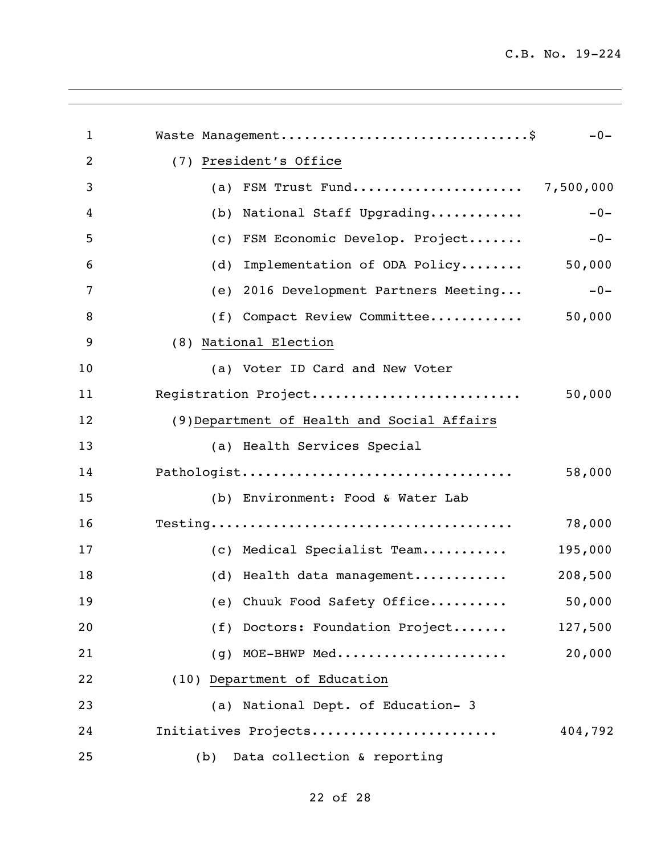| $\mathbf{1}$ | Waste Management\$                          | $-0-$   |
|--------------|---------------------------------------------|---------|
| 2            | (7) President's Office                      |         |
| 3            | FSM Trust Fund 7,500,000<br>(a)             |         |
| 4            | National Staff Upgrading<br>(b)             | $-0-$   |
| 5            | FSM Economic Develop. Project<br>(C)        | $-0-$   |
| 6            | Implementation of ODA Policy<br>(d)         | 50,000  |
| 7            | 2016 Development Partners Meeting<br>(e)    | $-0-$   |
| 8            | Compact Review Committee<br>(f)             | 50,000  |
| 9            | (8) National Election                       |         |
| 10           | (a) Voter ID Card and New Voter             |         |
| 11           | Registration Project                        | 50,000  |
| 12           | (9) Department of Health and Social Affairs |         |
| 13           | (a) Health Services Special                 |         |
| 14           | Pathologist                                 | 58,000  |
| 15           | (b) Environment: Food & Water Lab           |         |
| 16           |                                             | 78,000  |
| 17           | (c) Medical Specialist Team                 | 195,000 |
| 18           | (d) Health data management                  | 208,500 |
| 19           | (e) Chuuk Food Safety Office                | 50,000  |
| 20           | (f) Doctors: Foundation Project             | 127,500 |
| 21           | MOE-BHWP Med<br>(g)                         | 20,000  |
| 22           | (10) Department of Education                |         |
| 23           | (a) National Dept. of Education- 3          |         |
| 24           | Initiatives Projects                        | 404,792 |
| 25           | Data collection & reporting<br>(b)          |         |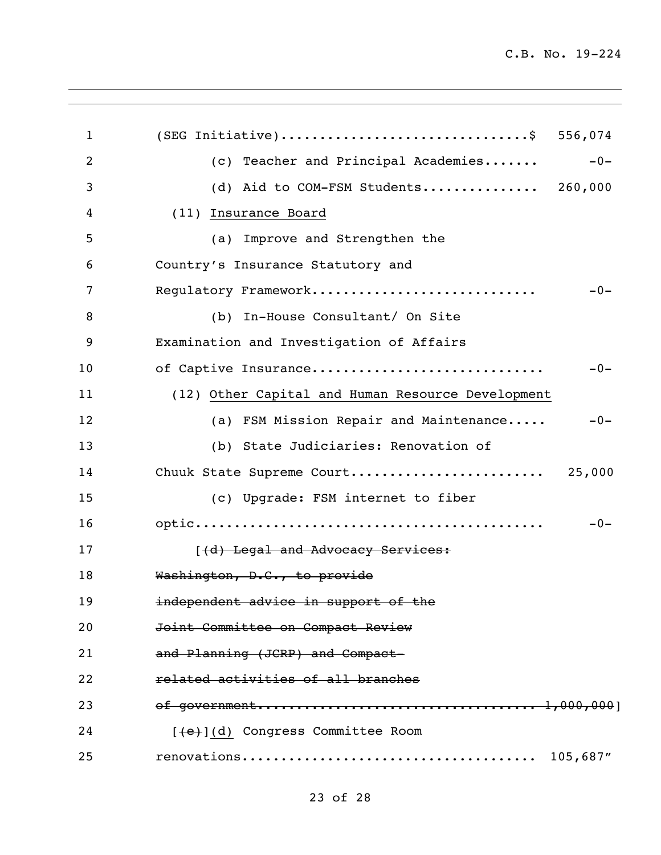| $\mathbf{1}$ | (SEG Initiative)\$ 556,074                        |
|--------------|---------------------------------------------------|
| 2            | (c) Teacher and Principal Academies<br>$-0-$      |
| 3            | (d) Aid to COM-FSM Students 260,000               |
| 4            | (11) Insurance Board                              |
| 5            | (a) Improve and Strengthen the                    |
| 6            | Country's Insurance Statutory and                 |
| 7            | Regulatory Framework<br>$-0-$                     |
| 8            | (b) In-House Consultant/ On Site                  |
| 9            | Examination and Investigation of Affairs          |
| 10           | of Captive Insurance<br>$-0-$                     |
| 11           | (12) Other Capital and Human Resource Development |
| 12           | (a) FSM Mission Repair and Maintenance<br>$-0-$   |
| 13           | (b) State Judiciaries: Renovation of              |
| 14           | Chuuk State Supreme Court<br>25,000               |
| 15           | (c) Upgrade: FSM internet to fiber                |
| 16           | $-0-$                                             |
| 17           | [(d) Legal and Advocacy Services:                 |
| 18           | Washington, D.C., to provide                      |
| 19           | independent advice in support of the              |
| 20           | Joint Committee on Compact Review                 |
| 21           | and Planning (JCRP) and Compact-                  |
| 22           | related activities of all branches                |
| 23           |                                                   |
| 24           | [(e)](d) Congress Committee Room                  |
| 25           | 105,687"                                          |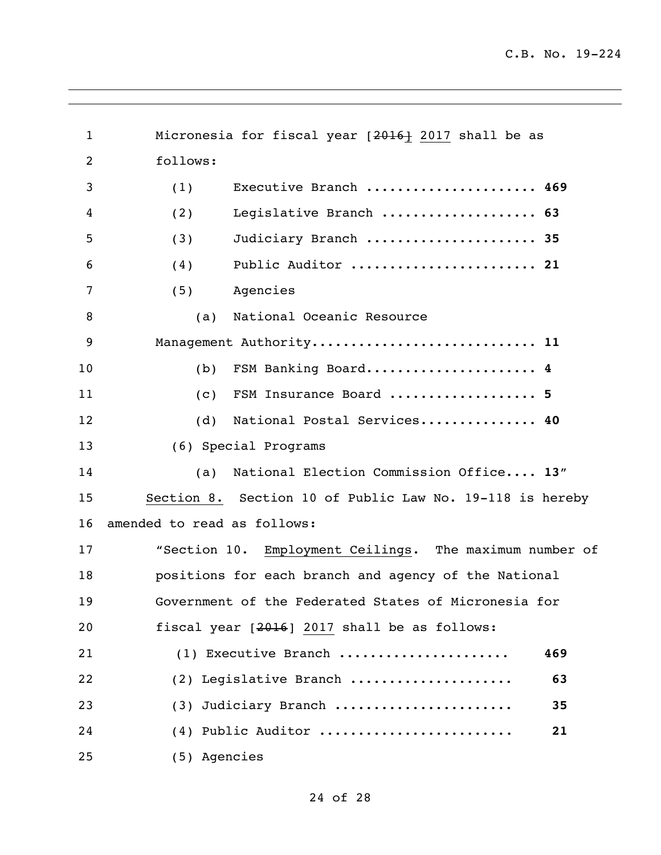1 Micronesia for fiscal year [2016] 2017 shall be as follows: (1) Executive Branch ...................... **469** (2) Legislative Branch .................... **63** (3) Judiciary Branch ...................... **35** (4) Public Auditor ........................ **21** (5) Agencies (a) National Oceanic Resource Management Authority............................. **11** (b) FSM Banking Board...................... **4** (c) FSM Insurance Board ................... **5** (d) National Postal Services............... **40** (6) Special Programs (a) National Election Commission Office.... **13**" Section 8. Section 10 of Public Law No. 19-118 is hereby amended to read as follows: "Section 10. Employment Ceilings. The maximum number of positions for each branch and agency of the National Government of the Federated States of Micronesia for fiscal year [2016] 2017 shall be as follows: (1) Executive Branch ...................... **469** (2) Legislative Branch ..................... **63** (3) Judiciary Branch ....................... **35** (4) Public Auditor ......................... **21** (5) Agencies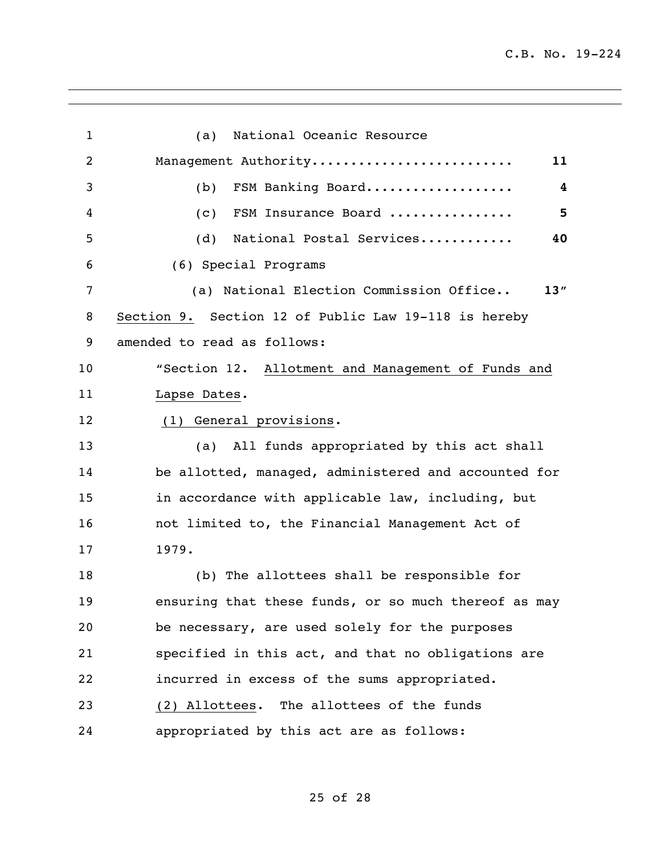| $\mathbf{1}$   | National Oceanic Resource<br>(a)                     |
|----------------|------------------------------------------------------|
| $\overline{2}$ | Management Authority<br>11                           |
| 3              | $\overline{\mathbf{4}}$<br>FSM Banking Board<br>(b)  |
| 4              | 5<br>FSM Insurance Board<br>(c)                      |
| 5              | (d)<br>National Postal Services<br>40                |
| 6              | (6) Special Programs                                 |
| $\overline{7}$ | (a) National Election Commission Office<br>13"       |
| 8              | Section 9. Section 12 of Public Law 19-118 is hereby |
| 9              | amended to read as follows:                          |
| 10             | "Section 12. Allotment and Management of Funds and   |
| 11             | Lapse Dates.                                         |
| 12             | (1) General provisions.                              |
| 13             | (a) All funds appropriated by this act shall         |
| 14             | be allotted, managed, administered and accounted for |
| 15             | in accordance with applicable law, including, but    |
| 16             | not limited to, the Financial Management Act of      |
| 17             | 1979.                                                |
| 18             | (b) The allottees shall be responsible for           |
| 19             | ensuring that these funds, or so much thereof as may |
| 20             | be necessary, are used solely for the purposes       |
| 21             | specified in this act, and that no obligations are   |
| 22             | incurred in excess of the sums appropriated.         |
| 23             | (2) Allottees. The allottees of the funds            |
| 24             | appropriated by this act are as follows:             |

## of 28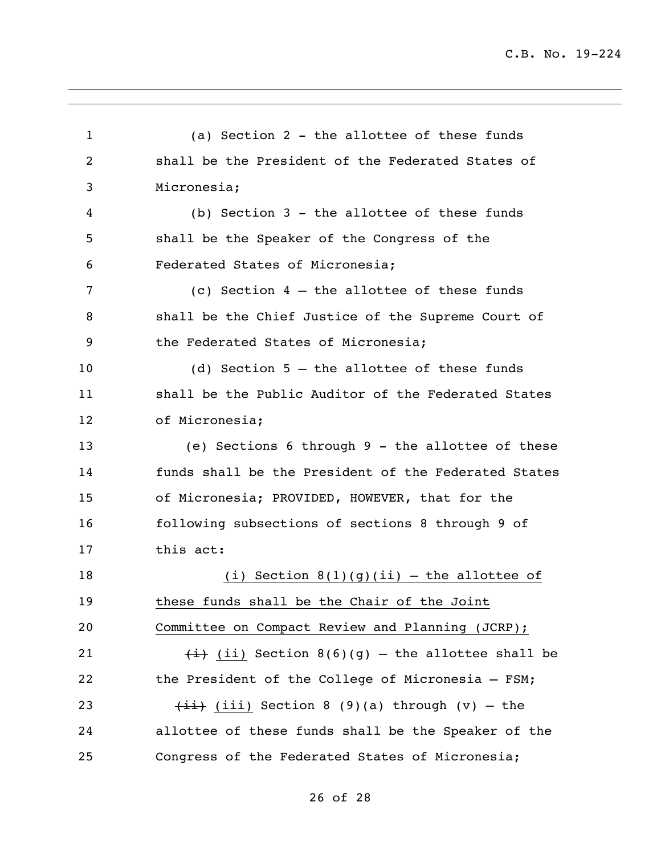(a) Section 2 - the allottee of these funds shall be the President of the Federated States of Micronesia; (b) Section 3 - the allottee of these funds shall be the Speaker of the Congress of the Federated States of Micronesia; (c) Section 4 – the allottee of these funds shall be the Chief Justice of the Supreme Court of 9 the Federated States of Micronesia; (d) Section 5 – the allottee of these funds shall be the Public Auditor of the Federated States of Micronesia; (e) Sections 6 through 9 - the allottee of these funds shall be the President of the Federated States of Micronesia; PROVIDED, HOWEVER, that for the following subsections of sections 8 through 9 of this act: 18 (i) Section  $8(1)(q)(ii)$  – the allottee of these funds shall be the Chair of the Joint Committee on Compact Review and Planning (JCRP);  $\frac{1}{1}$  (ii) Section 8(6)(g) – the allottee shall be the President of the College of Micronesia – FSM;  $\leftarrow$   $\leftarrow$   $\leftarrow$   $\leftarrow$  (iii) Section 8 (9)(a) through (v) - the allottee of these funds shall be the Speaker of the Congress of the Federated States of Micronesia;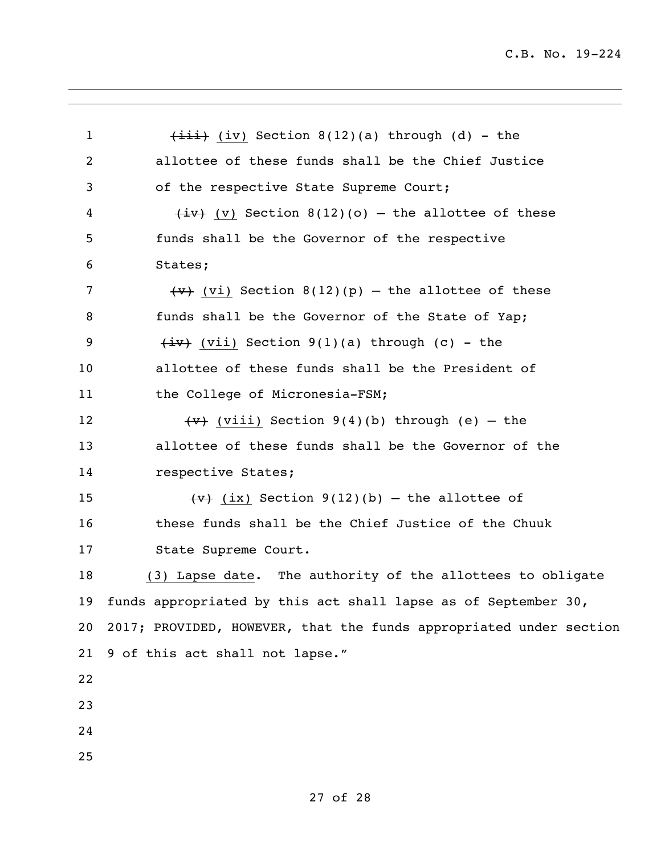| $\mathbf 1$    | $\overline{4i}$ (iv) Section 8(12)(a) through (d) - the            |
|----------------|--------------------------------------------------------------------|
| $\overline{c}$ | allottee of these funds shall be the Chief Justice                 |
| 3              | of the respective State Supreme Court;                             |
| 4              | $\overline{+iv}$ (v) Section 8(12)(o) – the allottee of these      |
| 5              | funds shall be the Governor of the respective                      |
| 6              | States;                                                            |
| 7              | $\overline{y}$ (vi) Section 8(12)(p) – the allottee of these       |
| 8              | funds shall be the Governor of the State of Yap;                   |
| 9              | $\overline{(+i\cdot)}$ (vii) Section 9(1)(a) through (c) - the     |
| 10             | allottee of these funds shall be the President of                  |
| 11             | the College of Micronesia-FSM;                                     |
| 12             | $\overline{y}$ (viii) Section 9(4)(b) through (e) - the            |
| 13             | allottee of these funds shall be the Governor of the               |
| 14             | respective States;                                                 |
| 15             | $\overline{(v)}$ (ix) Section 9(12)(b) – the allottee of           |
| 16             | these funds shall be the Chief Justice of the Chuuk                |
| 17             | State Supreme Court.                                               |
| 18             | (3) Lapse date. The authority of the allottees to obligate         |
| 19             | funds appropriated by this act shall lapse as of September 30,     |
| 20             | 2017; PROVIDED, HOWEVER, that the funds appropriated under section |
| 21             | 9 of this act shall not lapse."                                    |
| 22             |                                                                    |
| 23             |                                                                    |
| 24             |                                                                    |
| 25             |                                                                    |